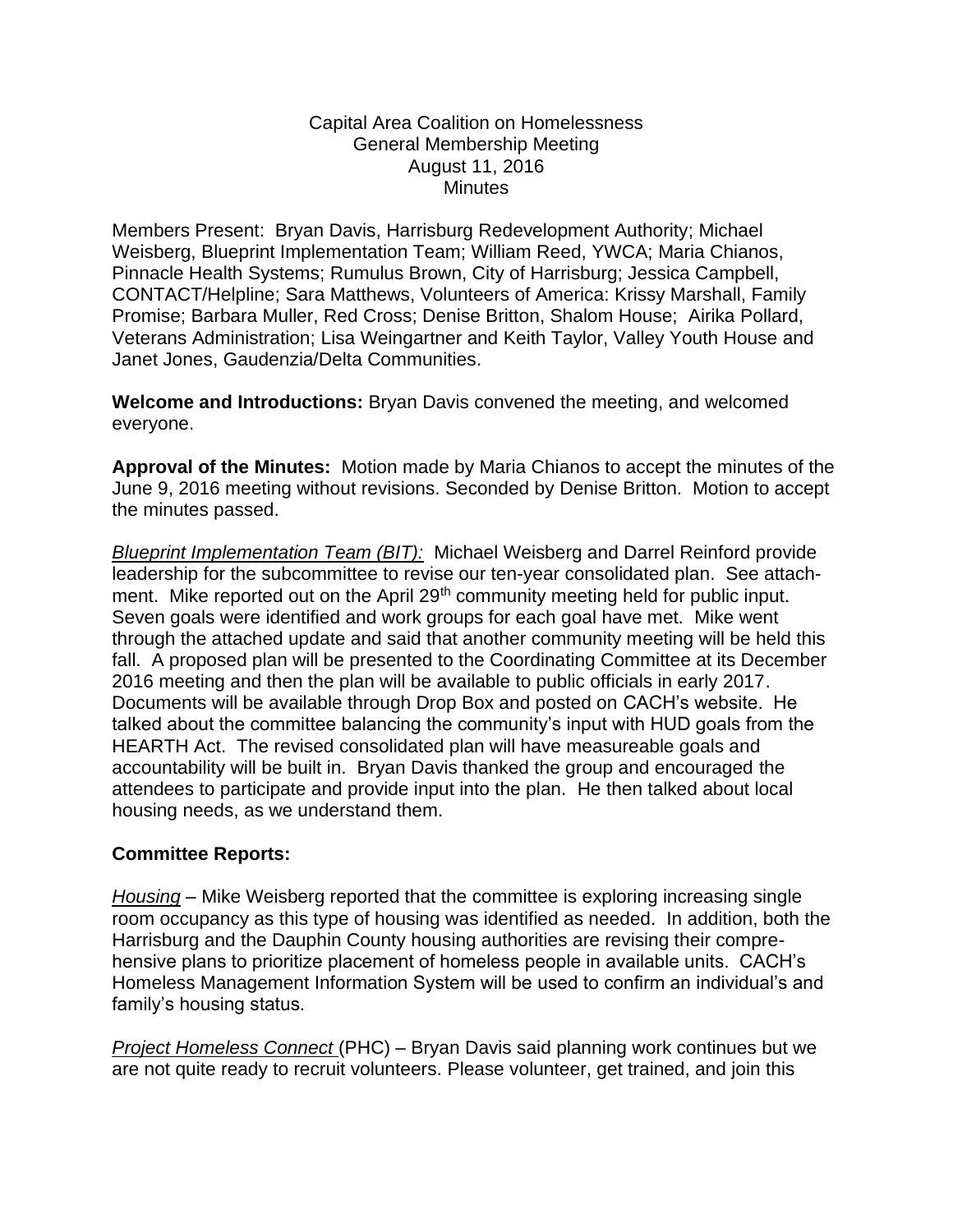## Capital Area Coalition on Homelessness General Membership Meeting August 11, 2016 **Minutes**

Members Present: Bryan Davis, Harrisburg Redevelopment Authority; Michael Weisberg, Blueprint Implementation Team; William Reed, YWCA; Maria Chianos, Pinnacle Health Systems; Rumulus Brown, City of Harrisburg; Jessica Campbell, CONTACT/Helpline; Sara Matthews, Volunteers of America: Krissy Marshall, Family Promise; Barbara Muller, Red Cross; Denise Britton, Shalom House; Airika Pollard, Veterans Administration; Lisa Weingartner and Keith Taylor, Valley Youth House and Janet Jones, Gaudenzia/Delta Communities.

**Welcome and Introductions:** Bryan Davis convened the meeting, and welcomed everyone.

**Approval of the Minutes:** Motion made by Maria Chianos to accept the minutes of the June 9, 2016 meeting without revisions. Seconded by Denise Britton. Motion to accept the minutes passed.

*Blueprint Implementation Team (BIT):* Michael Weisberg and Darrel Reinford provide leadership for the subcommittee to revise our ten-year consolidated plan. See attachment. Mike reported out on the April 29<sup>th</sup> community meeting held for public input. Seven goals were identified and work groups for each goal have met. Mike went through the attached update and said that another community meeting will be held this fall. A proposed plan will be presented to the Coordinating Committee at its December 2016 meeting and then the plan will be available to public officials in early 2017. Documents will be available through Drop Box and posted on CACH's website. He talked about the committee balancing the community's input with HUD goals from the HEARTH Act. The revised consolidated plan will have measureable goals and accountability will be built in. Bryan Davis thanked the group and encouraged the attendees to participate and provide input into the plan. He then talked about local housing needs, as we understand them.

## **Committee Reports:**

*Housing* – Mike Weisberg reported that the committee is exploring increasing single room occupancy as this type of housing was identified as needed. In addition, both the Harrisburg and the Dauphin County housing authorities are revising their comprehensive plans to prioritize placement of homeless people in available units. CACH's Homeless Management Information System will be used to confirm an individual's and family's housing status.

*Project Homeless Connect* (PHC) – Bryan Davis said planning work continues but we are not quite ready to recruit volunteers. Please volunteer, get trained, and join this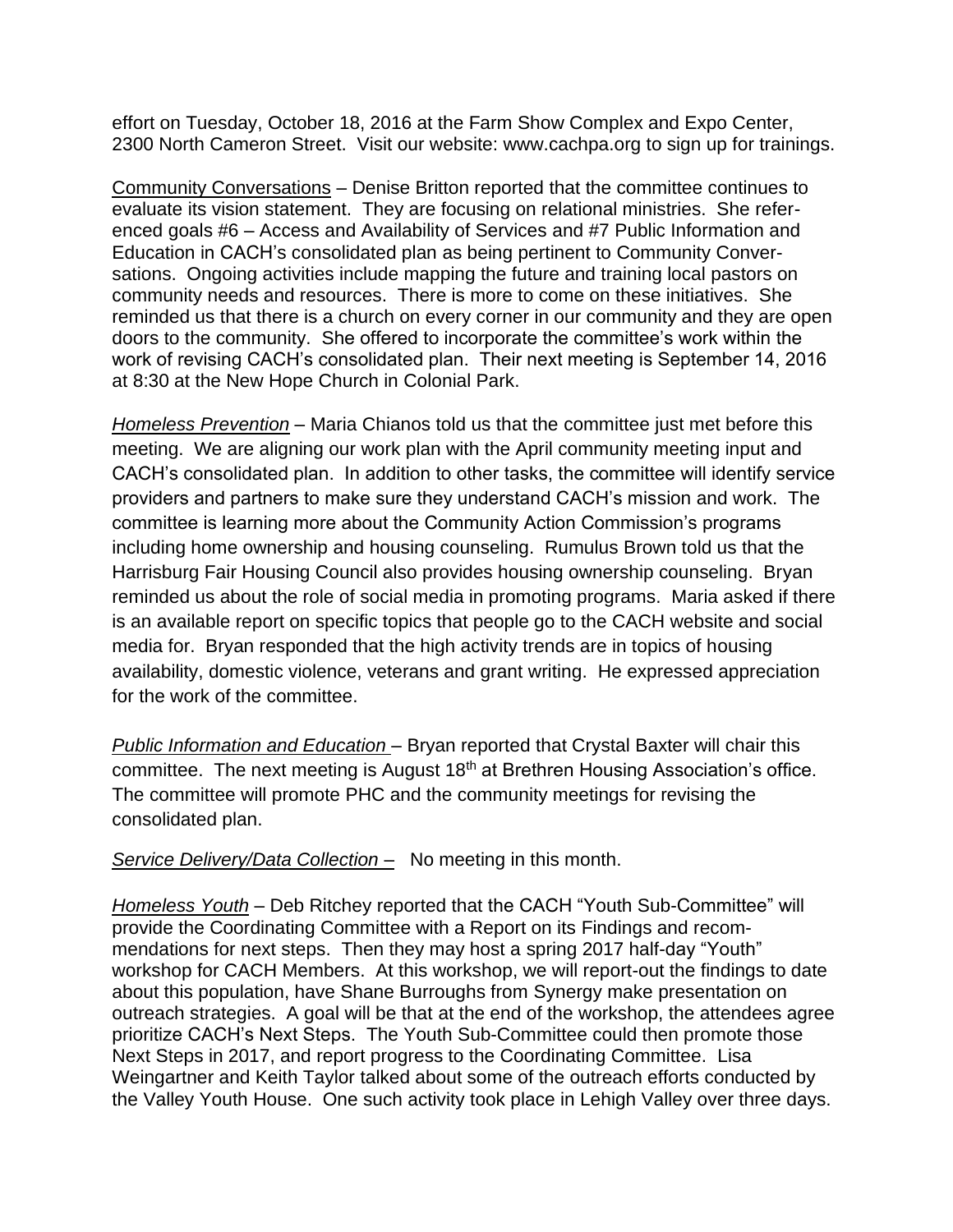effort on Tuesday, October 18, 2016 at the Farm Show Complex and Expo Center, 2300 North Cameron Street. Visit our website: www.cachpa.org to sign up for trainings.

Community Conversations – Denise Britton reported that the committee continues to evaluate its vision statement. They are focusing on relational ministries. She referenced goals #6 – Access and Availability of Services and #7 Public Information and Education in CACH's consolidated plan as being pertinent to Community Conversations. Ongoing activities include mapping the future and training local pastors on community needs and resources. There is more to come on these initiatives. She reminded us that there is a church on every corner in our community and they are open doors to the community. She offered to incorporate the committee's work within the work of revising CACH's consolidated plan. Their next meeting is September 14, 2016 at 8:30 at the New Hope Church in Colonial Park.

*Homeless Prevention* – Maria Chianos told us that the committee just met before this meeting. We are aligning our work plan with the April community meeting input and CACH's consolidated plan. In addition to other tasks, the committee will identify service providers and partners to make sure they understand CACH's mission and work. The committee is learning more about the Community Action Commission's programs including home ownership and housing counseling. Rumulus Brown told us that the Harrisburg Fair Housing Council also provides housing ownership counseling. Bryan reminded us about the role of social media in promoting programs. Maria asked if there is an available report on specific topics that people go to the CACH website and social media for. Bryan responded that the high activity trends are in topics of housing availability, domestic violence, veterans and grant writing. He expressed appreciation for the work of the committee.

*Public Information and Education* – Bryan reported that Crystal Baxter will chair this committee. The next meeting is August 18th at Brethren Housing Association's office. The committee will promote PHC and the community meetings for revising the consolidated plan.

*Service Delivery/Data Collection –* No meeting in this month.

*Homeless Youth* – Deb Ritchey reported that the CACH "Youth Sub-Committee" will provide the Coordinating Committee with a Report on its Findings and recommendations for next steps. Then they may host a spring 2017 half-day "Youth" workshop for CACH Members. At this workshop, we will report-out the findings to date about this population, have Shane Burroughs from Synergy make presentation on outreach strategies. A goal will be that at the end of the workshop, the attendees agree prioritize CACH's Next Steps. The Youth Sub-Committee could then promote those Next Steps in 2017, and report progress to the Coordinating Committee. Lisa Weingartner and Keith Taylor talked about some of the outreach efforts conducted by the Valley Youth House. One such activity took place in Lehigh Valley over three days.